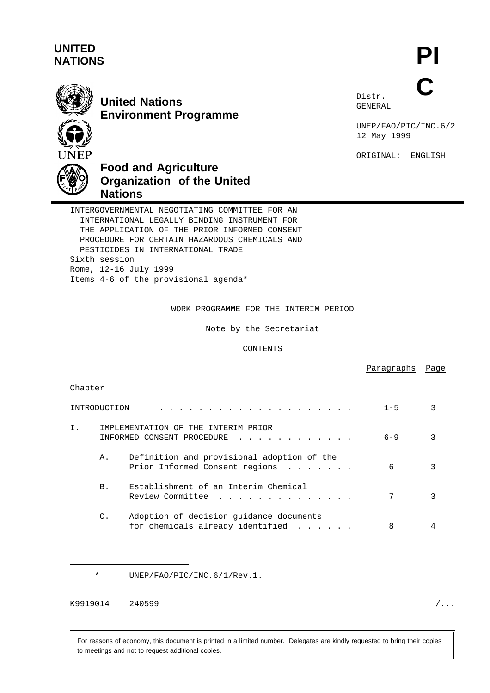## **UNITED NATIONS**

**PI C**



**United Nations Environment Programme** Distr. GENERAL

UNEP/FAO/PIC/INC.6/2 12 May 1999

ORIGINAL: ENGLISH

Paragraphs Page



# **Food and Agriculture Organization of the United Nations**

INTERGOVERNMENTAL NEGOTIATING COMMITTEE FOR AN INTERNATIONAL LEGALLY BINDING INSTRUMENT FOR THE APPLICATION OF THE PRIOR INFORMED CONSENT PROCEDURE FOR CERTAIN HAZARDOUS CHEMICALS AND PESTICIDES IN INTERNATIONAL TRADE Sixth session Rome, 12-16 July 1999 Items 4-6 of the provisional agenda\*

WORK PROGRAMME FOR THE INTERIM PERIOD

Note by the Secretariat

CONTENTS

| Chapter |                |                                                                                                      |         |   |
|---------|----------------|------------------------------------------------------------------------------------------------------|---------|---|
|         | INTRODUCTION   | .                                                                                                    | $1 - 5$ | 3 |
| Ι.      |                | IMPLEMENTATION OF THE INTERIM PRIOR<br>INFORMED CONSENT PROCEDURE<br><u>a sa salawan a sa salawa</u> | $6 - 9$ | 3 |
|         | Α.             | Definition and provisional adoption of the<br>Prior Informed Consent regions                         | 6       | 3 |
|         | <b>B.</b>      | Establishment of an Interim Chemical<br>Review Committee                                             | 7       | 3 |
|         | $\mathbb{C}$ . | Adoption of decision guidance documents<br>for chemicals already identified                          | 8       |   |

\* UNEP/FAO/PIC/INC.6/1/Rev.1.

K9919014 240599 /...

For reasons of economy, this document is printed in a limited number. Delegates are kindly requested to bring their copies to meetings and not to request additional copies.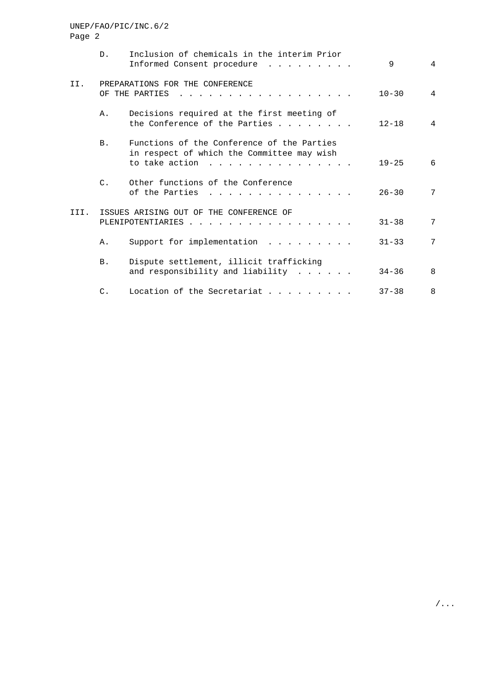# Page 2 D. Inclusion of chemicals in the interim Prior Informed Consent procedure . . . . . . . . . 9 4 II. PREPARATIONS FOR THE CONFERENCE OF THE PARTIES . . . . . . . . . . . . . . . . . . 10-30 4 A. Decisions required at the first meeting of the Conference of the Parties . . . . . . . 12-18 4 B. Functions of the Conference of the Parties in respect of which the Committee may wish to take action . . . . . . . . . . . . . . . 19-25 6 C. Other functions of the Conference of the Parties . . . . . . . . . . . . . . . 26-30 7 III. ISSUES ARISING OUT OF THE CONFERENCE OF PLENIPOTENTIARIES . . . . . . . . . . . . . . . . . 31-38 7 A. Support for implementation . . . . . . . . 31-33 7 B. Dispute settlement, illicit trafficking and responsibility and liability . . . . . . 34-36 8 C. Location of the Secretariat . . . . . . . . 37-38 8

UNEP/FAO/PIC/INC.6/2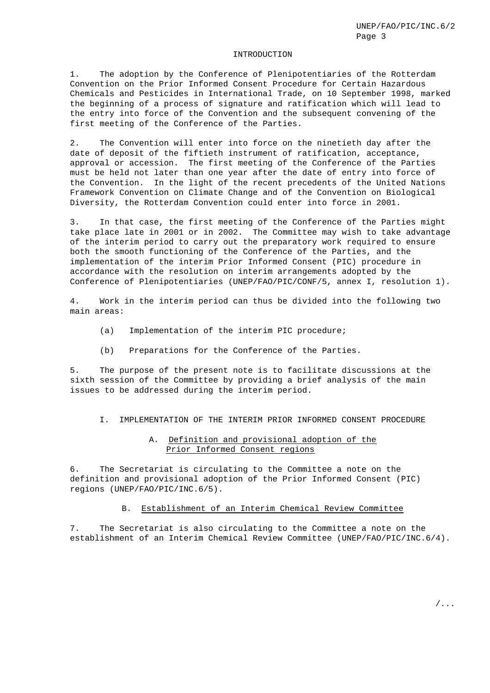#### INTRODUCTION

1. The adoption by the Conference of Plenipotentiaries of the Rotterdam Convention on the Prior Informed Consent Procedure for Certain Hazardous Chemicals and Pesticides in International Trade, on 10 September 1998, marked the beginning of a process of signature and ratification which will lead to the entry into force of the Convention and the subsequent convening of the first meeting of the Conference of the Parties.

2. The Convention will enter into force on the ninetieth day after the date of deposit of the fiftieth instrument of ratification, acceptance, approval or accession. The first meeting of the Conference of the Parties must be held not later than one year after the date of entry into force of the Convention. In the light of the recent precedents of the United Nations Framework Convention on Climate Change and of the Convention on Biological Diversity, the Rotterdam Convention could enter into force in 2001.

3. In that case, the first meeting of the Conference of the Parties might take place late in 2001 or in 2002. The Committee may wish to take advantage of the interim period to carry out the preparatory work required to ensure both the smooth functioning of the Conference of the Parties, and the implementation of the interim Prior Informed Consent (PIC) procedure in accordance with the resolution on interim arrangements adopted by the Conference of Plenipotentiaries (UNEP/FAO/PIC/CONF/5, annex I, resolution 1).

4. Work in the interim period can thus be divided into the following two main areas:

- (a) Implementation of the interim PIC procedure;
- (b) Preparations for the Conference of the Parties.

5. The purpose of the present note is to facilitate discussions at the sixth session of the Committee by providing a brief analysis of the main issues to be addressed during the interim period.

I. IMPLEMENTATION OF THE INTERIM PRIOR INFORMED CONSENT PROCEDURE

#### A. Definition and provisional adoption of the Prior Informed Consent regions

6. The Secretariat is circulating to the Committee a note on the definition and provisional adoption of the Prior Informed Consent (PIC) regions (UNEP/FAO/PIC/INC.6/5).

#### B. Establishment of an Interim Chemical Review Committee

7. The Secretariat is also circulating to the Committee a note on the establishment of an Interim Chemical Review Committee (UNEP/FAO/PIC/INC.6/4).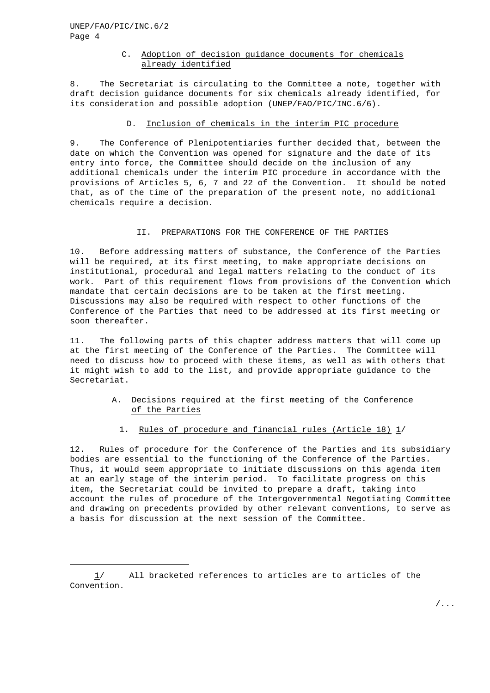## C. Adoption of decision guidance documents for chemicals already identified

8. The Secretariat is circulating to the Committee a note, together with draft decision guidance documents for six chemicals already identified, for its consideration and possible adoption (UNEP/FAO/PIC/INC.6/6).

#### D. Inclusion of chemicals in the interim PIC procedure

9. The Conference of Plenipotentiaries further decided that, between the date on which the Convention was opened for signature and the date of its entry into force, the Committee should decide on the inclusion of any additional chemicals under the interim PIC procedure in accordance with the provisions of Articles 5, 6, 7 and 22 of the Convention. It should be noted that, as of the time of the preparation of the present note, no additional chemicals require a decision.

#### II. PREPARATIONS FOR THE CONFERENCE OF THE PARTIES

10. Before addressing matters of substance, the Conference of the Parties will be required, at its first meeting, to make appropriate decisions on institutional, procedural and legal matters relating to the conduct of its work. Part of this requirement flows from provisions of the Convention which mandate that certain decisions are to be taken at the first meeting. Discussions may also be required with respect to other functions of the Conference of the Parties that need to be addressed at its first meeting or soon thereafter.

11. The following parts of this chapter address matters that will come up at the first meeting of the Conference of the Parties. The Committee will need to discuss how to proceed with these items, as well as with others that it might wish to add to the list, and provide appropriate guidance to the Secretariat.

## A. Decisions required at the first meeting of the Conference of the Parties

1. Rules of procedure and financial rules (Article 18) 1/

12. Rules of procedure for the Conference of the Parties and its subsidiary bodies are essential to the functioning of the Conference of the Parties. Thus, it would seem appropriate to initiate discussions on this agenda item at an early stage of the interim period. To facilitate progress on this item, the Secretariat could be invited to prepare a draft, taking into account the rules of procedure of the Intergovernmental Negotiating Committee and drawing on precedents provided by other relevant conventions, to serve as a basis for discussion at the next session of the Committee.

<sup>1/</sup> All bracketed references to articles are to articles of the Convention.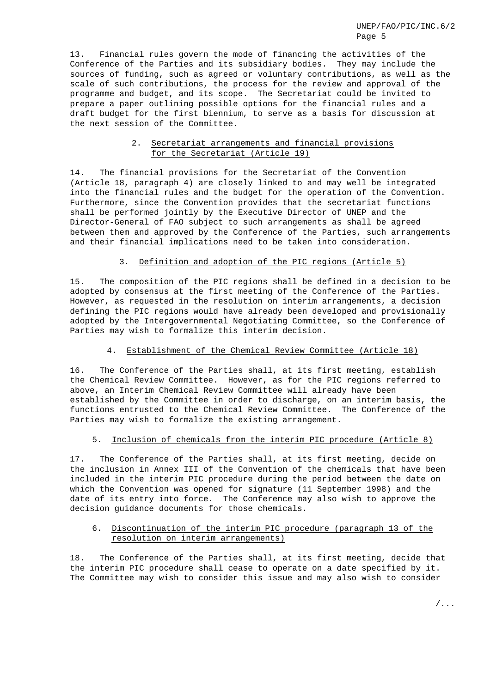13. Financial rules govern the mode of financing the activities of the Conference of the Parties and its subsidiary bodies. They may include the sources of funding, such as agreed or voluntary contributions, as well as the scale of such contributions, the process for the review and approval of the programme and budget, and its scope. The Secretariat could be invited to prepare a paper outlining possible options for the financial rules and a draft budget for the first biennium, to serve as a basis for discussion at the next session of the Committee.

#### 2. Secretariat arrangements and financial provisions for the Secretariat (Article 19)

14. The financial provisions for the Secretariat of the Convention (Article 18, paragraph 4) are closely linked to and may well be integrated into the financial rules and the budget for the operation of the Convention. Furthermore, since the Convention provides that the secretariat functions shall be performed jointly by the Executive Director of UNEP and the Director-General of FAO subject to such arrangements as shall be agreed between them and approved by the Conference of the Parties, such arrangements and their financial implications need to be taken into consideration.

## 3. Definition and adoption of the PIC regions (Article 5)

15. The composition of the PIC regions shall be defined in a decision to be adopted by consensus at the first meeting of the Conference of the Parties. However, as requested in the resolution on interim arrangements, a decision defining the PIC regions would have already been developed and provisionally adopted by the Intergovernmental Negotiating Committee, so the Conference of Parties may wish to formalize this interim decision.

## 4. Establishment of the Chemical Review Committee (Article 18)

16. The Conference of the Parties shall, at its first meeting, establish the Chemical Review Committee. However, as for the PIC regions referred to above, an Interim Chemical Review Committee will already have been established by the Committee in order to discharge, on an interim basis, the functions entrusted to the Chemical Review Committee. The Conference of the Parties may wish to formalize the existing arrangement.

## 5. Inclusion of chemicals from the interim PIC procedure (Article 8)

17. The Conference of the Parties shall, at its first meeting, decide on the inclusion in Annex III of the Convention of the chemicals that have been included in the interim PIC procedure during the period between the date on which the Convention was opened for signature (11 September 1998) and the date of its entry into force. The Conference may also wish to approve the decision guidance documents for those chemicals.

## 6. Discontinuation of the interim PIC procedure (paragraph 13 of the resolution on interim arrangements)

18. The Conference of the Parties shall, at its first meeting, decide that the interim PIC procedure shall cease to operate on a date specified by it. The Committee may wish to consider this issue and may also wish to consider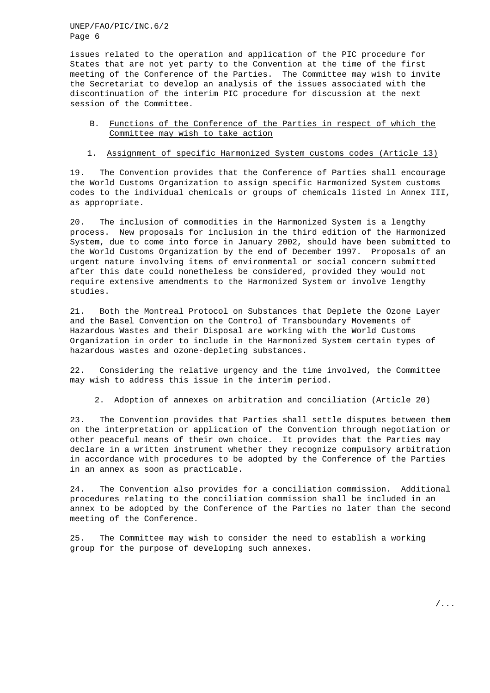UNEP/FAO/PIC/INC.6/2 Page 6

issues related to the operation and application of the PIC procedure for States that are not yet party to the Convention at the time of the first meeting of the Conference of the Parties. The Committee may wish to invite the Secretariat to develop an analysis of the issues associated with the discontinuation of the interim PIC procedure for discussion at the next session of the Committee.

- B. Functions of the Conference of the Parties in respect of which the Committee may wish to take action
- 1. Assignment of specific Harmonized System customs codes (Article 13)

19. The Convention provides that the Conference of Parties shall encourage the World Customs Organization to assign specific Harmonized System customs codes to the individual chemicals or groups of chemicals listed in Annex III, as appropriate.

20. The inclusion of commodities in the Harmonized System is a lengthy process. New proposals for inclusion in the third edition of the Harmonized System, due to come into force in January 2002, should have been submitted to the World Customs Organization by the end of December 1997. Proposals of an urgent nature involving items of environmental or social concern submitted after this date could nonetheless be considered, provided they would not require extensive amendments to the Harmonized System or involve lengthy studies.

21. Both the Montreal Protocol on Substances that Deplete the Ozone Layer and the Basel Convention on the Control of Transboundary Movements of Hazardous Wastes and their Disposal are working with the World Customs Organization in order to include in the Harmonized System certain types of hazardous wastes and ozone-depleting substances.

22. Considering the relative urgency and the time involved, the Committee may wish to address this issue in the interim period.

#### 2. Adoption of annexes on arbitration and conciliation (Article 20)

23. The Convention provides that Parties shall settle disputes between them on the interpretation or application of the Convention through negotiation or other peaceful means of their own choice. It provides that the Parties may declare in a written instrument whether they recognize compulsory arbitration in accordance with procedures to be adopted by the Conference of the Parties in an annex as soon as practicable.

24. The Convention also provides for a conciliation commission. Additional procedures relating to the conciliation commission shall be included in an annex to be adopted by the Conference of the Parties no later than the second meeting of the Conference.

25. The Committee may wish to consider the need to establish a working group for the purpose of developing such annexes.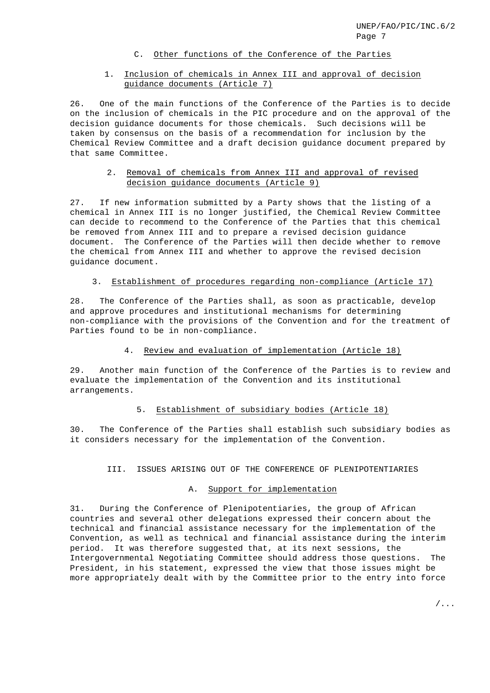## C. Other functions of the Conference of the Parties

## 1. Inclusion of chemicals in Annex III and approval of decision guidance documents (Article 7)

26. One of the main functions of the Conference of the Parties is to decide on the inclusion of chemicals in the PIC procedure and on the approval of the decision guidance documents for those chemicals. Such decisions will be taken by consensus on the basis of a recommendation for inclusion by the Chemical Review Committee and a draft decision guidance document prepared by that same Committee.

#### 2. Removal of chemicals from Annex III and approval of revised decision guidance documents (Article 9)

27. If new information submitted by a Party shows that the listing of a chemical in Annex III is no longer justified, the Chemical Review Committee can decide to recommend to the Conference of the Parties that this chemical be removed from Annex III and to prepare a revised decision guidance document. The Conference of the Parties will then decide whether to remove the chemical from Annex III and whether to approve the revised decision guidance document.

#### 3. Establishment of procedures regarding non-compliance (Article 17)

28. The Conference of the Parties shall, as soon as practicable, develop and approve procedures and institutional mechanisms for determining non-compliance with the provisions of the Convention and for the treatment of Parties found to be in non-compliance.

#### 4. Review and evaluation of implementation (Article 18)

29. Another main function of the Conference of the Parties is to review and evaluate the implementation of the Convention and its institutional arrangements.

## 5. Establishment of subsidiary bodies (Article 18)

30. The Conference of the Parties shall establish such subsidiary bodies as it considers necessary for the implementation of the Convention.

#### III. ISSUES ARISING OUT OF THE CONFERENCE OF PLENIPOTENTIARIES

#### A. Support for implementation

31. During the Conference of Plenipotentiaries, the group of African countries and several other delegations expressed their concern about the technical and financial assistance necessary for the implementation of the Convention, as well as technical and financial assistance during the interim period. It was therefore suggested that, at its next sessions, the Intergovernmental Negotiating Committee should address those questions. The President, in his statement, expressed the view that those issues might be more appropriately dealt with by the Committee prior to the entry into force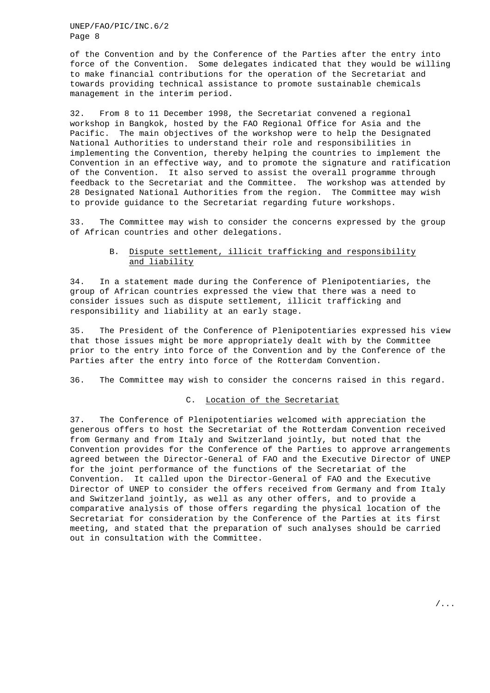UNEP/FAO/PIC/INC.6/2 Page 8

of the Convention and by the Conference of the Parties after the entry into force of the Convention. Some delegates indicated that they would be willing to make financial contributions for the operation of the Secretariat and towards providing technical assistance to promote sustainable chemicals management in the interim period.

32. From 8 to 11 December 1998, the Secretariat convened a regional workshop in Bangkok, hosted by the FAO Regional Office for Asia and the Pacific. The main objectives of the workshop were to help the Designated National Authorities to understand their role and responsibilities in implementing the Convention, thereby helping the countries to implement the Convention in an effective way, and to promote the signature and ratification of the Convention. It also served to assist the overall programme through feedback to the Secretariat and the Committee. The workshop was attended by 28 Designated National Authorities from the region. The Committee may wish to provide guidance to the Secretariat regarding future workshops.

33. The Committee may wish to consider the concerns expressed by the group of African countries and other delegations.

## B. Dispute settlement, illicit trafficking and responsibility and liability

34. In a statement made during the Conference of Plenipotentiaries, the group of African countries expressed the view that there was a need to consider issues such as dispute settlement, illicit trafficking and responsibility and liability at an early stage.

35. The President of the Conference of Plenipotentiaries expressed his view that those issues might be more appropriately dealt with by the Committee prior to the entry into force of the Convention and by the Conference of the Parties after the entry into force of the Rotterdam Convention.

36. The Committee may wish to consider the concerns raised in this regard.

#### C. Location of the Secretariat

37. The Conference of Plenipotentiaries welcomed with appreciation the generous offers to host the Secretariat of the Rotterdam Convention received from Germany and from Italy and Switzerland jointly, but noted that the Convention provides for the Conference of the Parties to approve arrangements agreed between the Director-General of FAO and the Executive Director of UNEP for the joint performance of the functions of the Secretariat of the Convention. It called upon the Director-General of FAO and the Executive Director of UNEP to consider the offers received from Germany and from Italy and Switzerland jointly, as well as any other offers, and to provide a comparative analysis of those offers regarding the physical location of the Secretariat for consideration by the Conference of the Parties at its first meeting, and stated that the preparation of such analyses should be carried out in consultation with the Committee.

/...